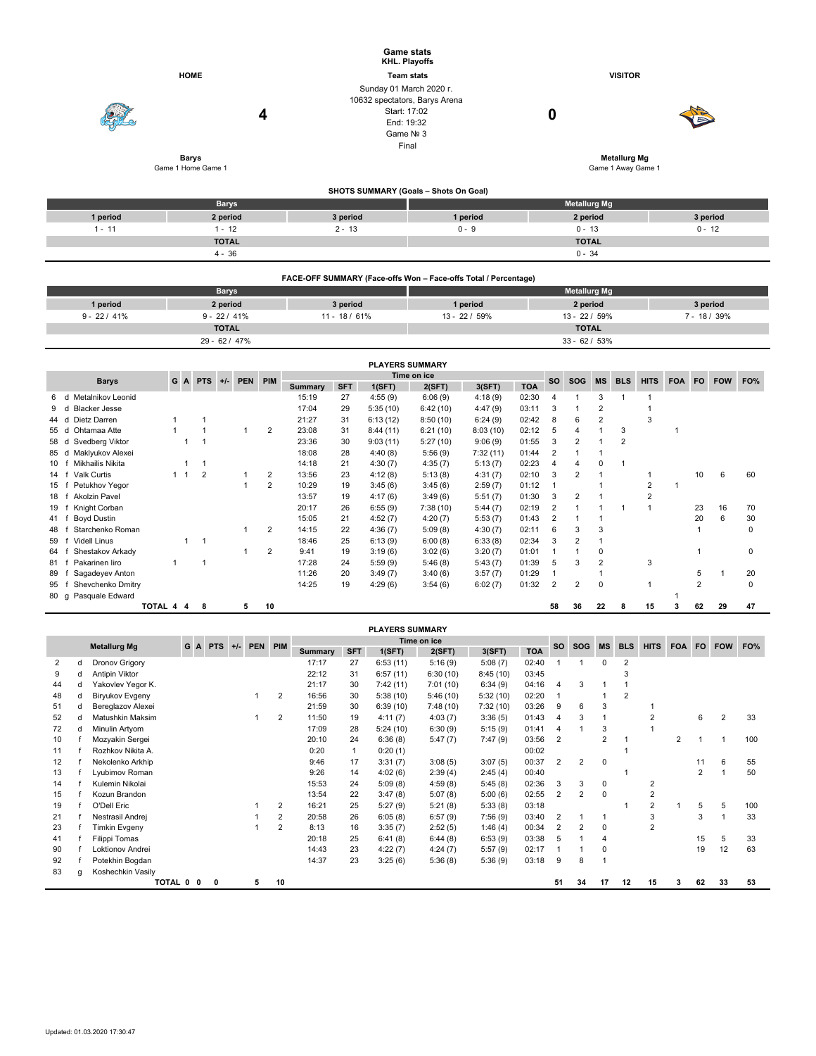|          |                                    | <b>Game stats</b><br>KHL. Playoffs                                                                           |                                           |                     |          |  |  |  |  |
|----------|------------------------------------|--------------------------------------------------------------------------------------------------------------|-------------------------------------------|---------------------|----------|--|--|--|--|
|          | <b>HOME</b>                        | <b>Team stats</b>                                                                                            |                                           | <b>VISITOR</b>      |          |  |  |  |  |
|          | 4                                  | Sunday 01 March 2020 r.<br>10632 spectators, Barys Arena<br>Start: 17:02<br>End: 19:32<br>Game Nº 3<br>Final |                                           | 0                   |          |  |  |  |  |
|          | <b>Barys</b><br>Game 1 Home Game 1 |                                                                                                              | <b>Metallurg Mg</b><br>Game 1 Away Game 1 |                     |          |  |  |  |  |
|          |                                    |                                                                                                              | SHOTS SUMMARY (Goals - Shots On Goal)     |                     |          |  |  |  |  |
|          | <b>Barys</b>                       |                                                                                                              |                                           | <b>Metallurg Mg</b> |          |  |  |  |  |
| 1 period | 2 period                           | 3 period                                                                                                     | 1 period                                  | 2 period            | 3 period |  |  |  |  |
| $1 - 11$ | $1 - 12$                           | $2 - 13$                                                                                                     | $0 - 9$                                   | $0 - 13$            | $0 - 12$ |  |  |  |  |
|          | <b>TOTAL</b>                       |                                                                                                              |                                           | <b>TOTAL</b>        |          |  |  |  |  |
|          | $4 - 36$                           |                                                                                                              |                                           | $0 - 34$            |          |  |  |  |  |

| FACE-OFF SUMMARY (Face-offs Won - Face-offs Total / Percentage) |                 |                |                     |                 |               |  |  |  |  |  |  |
|-----------------------------------------------------------------|-----------------|----------------|---------------------|-----------------|---------------|--|--|--|--|--|--|
|                                                                 | <b>Barys</b>    |                | <b>Metallurg Mg</b> |                 |               |  |  |  |  |  |  |
| 1 period                                                        | 2 period        | 3 period       | 1 period            | 2 period        | 3 period      |  |  |  |  |  |  |
| $9 - 22 / 41\%$                                                 | $9 - 22 / 41\%$ | $11 - 18/61\%$ | $13 - 22/59%$       | $13 - 22/59%$   | $7 - 18/39\%$ |  |  |  |  |  |  |
|                                                                 | <b>TOTAL</b>    |                |                     | <b>TOTAL</b>    |               |  |  |  |  |  |  |
|                                                                 | 29 - 62 / 47%   |                |                     | $33 - 62 / 53%$ |               |  |  |  |  |  |  |

|      | <b>PLAYERS SUMMARY</b>    |         |             |                |       |            |                |                |             |          |          |          |            |                |            |           |            |                |            |                |            |     |
|------|---------------------------|---------|-------------|----------------|-------|------------|----------------|----------------|-------------|----------|----------|----------|------------|----------------|------------|-----------|------------|----------------|------------|----------------|------------|-----|
|      | <b>Barys</b>              | G       |             | A PTS          | $+/-$ | <b>PEN</b> | PIM            |                | Time on ice |          |          |          |            | <b>SO</b>      | <b>SOG</b> | <b>MS</b> | <b>BLS</b> | <b>HITS</b>    | <b>FOA</b> | <b>FO</b>      | <b>FOW</b> | FO% |
|      |                           |         |             |                |       |            |                | <b>Summary</b> | <b>SFT</b>  | 1(SFT)   | 2(SFT)   | 3(SFT)   | <b>TOA</b> |                |            |           |            |                |            |                |            |     |
| 6.   | Metalnikov Leonid<br>d    |         |             |                |       |            |                | 15:19          | 27          | 4:55(9)  | 6:06(9)  | 4:18(9)  | 02:30      | 4              |            | 3         |            |                |            |                |            |     |
| 9    | <b>Blacker Jesse</b><br>d |         |             |                |       |            |                | 17:04          | 29          | 5:35(10) | 6:42(10) | 4:47(9)  | 03:11      | 3              |            | 2         |            |                |            |                |            |     |
| 44   | Dietz Darren<br>d         |         |             |                |       |            |                | 21:27          | 31          | 6:13(12) | 8:50(10) | 6:24(9)  | 02:42      | 8              | 6          | 2         |            | 3              |            |                |            |     |
| 55 d | Ohtamaa Atte              |         |             |                |       |            | 2              | 23:08          | 31          | 8:44(11) | 6:21(10) | 8:03(10) | 02:12      | 5              |            |           | 3          |                |            |                |            |     |
| 58 d | Svedberg Viktor           |         |             |                |       |            |                | 23:36          | 30          | 9:03(11) | 5:27(10) | 9:06(9)  | 01:55      | 3              | 2          |           | 2          |                |            |                |            |     |
| 85 d | Maklyukov Alexei          |         |             |                |       |            |                | 18:08          | 28          | 4:40(8)  | 5:56(9)  | 7:32(11) | 01:44      |                |            |           |            |                |            |                |            |     |
| 10 f | Mikhailis Nikita          |         |             |                |       |            |                | 14:18          | 21          | 4:30(7)  | 4:35(7)  | 5:13(7)  | 02:23      | 4              |            | 0         |            |                |            |                |            |     |
| 14   | <b>Valk Curtis</b>        |         | $1 \quad 1$ | $\overline{2}$ |       |            | $\overline{2}$ | 13:56          | 23          | 4:12(8)  | 5:13(8)  | 4:31(7)  | 02:10      | 3              | 2          |           |            |                |            | 10             | 6          | 60  |
| 15   | Petukhov Yegor            |         |             |                |       |            | $\overline{2}$ | 10:29          | 19          | 3:45(6)  | 3:45(6)  | 2:59(7)  | 01:12      |                |            |           |            | $\overline{2}$ |            |                |            |     |
| 18   | <b>Akolzin Pavel</b>      |         |             |                |       |            |                | 13:57          | 19          | 4:17(6)  | 3:49(6)  | 5:51(7)  | 01:30      | 3              | 2          |           |            | $\overline{2}$ |            |                |            |     |
| 19   | Knight Corban             |         |             |                |       |            |                | 20:17          | 26          | 6:55(9)  | 7:38(10) | 5:44(7)  | 02:19      |                |            |           |            |                |            | 23             | 16         | 70  |
| 41 f | Boyd Dustin               |         |             |                |       |            |                | 15:05          | 21          | 4:52(7)  | 4:20(7)  | 5:53(7)  | 01:43      |                |            |           |            |                |            | 20             | 6          | 30  |
| 48   | Starchenko Roman          |         |             |                |       |            | $\overline{2}$ | 14:15          | 22          | 4:36(7)  | 5:09(8)  | 4:30(7)  | 02:11      | 6              | 3          | 3         |            |                |            |                |            | 0   |
| 59   | <b>Videll Linus</b>       |         |             |                |       |            |                | 18:46          | 25          | 6:13(9)  | 6:00(8)  | 6:33(8)  | 02:34      | 3              | 2          |           |            |                |            |                |            |     |
| 64   | Shestakov Arkady          |         |             |                |       |            | $\overline{2}$ | 9:41           | 19          | 3:19(6)  | 3:02(6)  | 3:20(7)  | 01:01      |                |            | 0         |            |                |            |                |            |     |
| 81 f | Pakarinen liro            | 1       |             |                |       |            |                | 17:28          | 24          | 5:59(9)  | 5:46(8)  | 5:43(7)  | 01:39      | 5              | 3          | 2         |            | 3              |            |                |            |     |
| 89   | Sagadeyev Anton           |         |             |                |       |            |                | 11:26          | 20          | 3:49(7)  | 3:40(6)  | 3:57(7)  | 01:29      |                |            |           |            |                |            | 5              |            | 20  |
| 95   | Shevchenko Dmitry         |         |             |                |       |            |                | 14:25          | 19          | 4:29(6)  | 3:54(6)  | 6:02(7)  | 01:32      | $\overline{2}$ | 2          | 0         |            |                |            | $\overline{2}$ |            |     |
| 80 g | Pasquale Edward           |         |             |                |       |            |                |                |             |          |          |          |            |                |            |           |            |                |            |                |            |     |
|      |                           | TOTAL 4 | 4           | 8              |       | 5          | 10             |                |             |          |          |          |            | 58             | 36         | 22        |            | 15             |            | 62             | 29         | 47  |

|    | <b>PLAYERS SUMMARY</b> |                     |   |  |       |  |             |                |         |            |          |             |          |            |                       |            |                |                |                |                |     |                |     |
|----|------------------------|---------------------|---|--|-------|--|-------------|----------------|---------|------------|----------|-------------|----------|------------|-----------------------|------------|----------------|----------------|----------------|----------------|-----|----------------|-----|
|    |                        |                     | G |  | A PTS |  | +/- PEN PIM |                |         |            |          | Time on ice |          |            | <b>SO</b>             | <b>SOG</b> | <b>MS</b>      | <b>BLS</b>     | <b>HITS</b>    | <b>FOA</b>     | FO. | <b>FOW</b>     | FO% |
|    |                        | <b>Metallurg Mg</b> |   |  |       |  |             |                | Summary | <b>SFT</b> | 1(SFT)   | 2(SFT)      | 3(SFT)   | <b>TOA</b> |                       |            |                |                |                |                |     |                |     |
| 2  | d                      | Dronov Grigory      |   |  |       |  |             |                | 17:17   | 27         | 6:53(11) | 5:16(9)     | 5:08(7)  | 02:40      |                       |            | 0              | 2              |                |                |     |                |     |
| 9  | d                      | Antipin Viktor      |   |  |       |  |             |                | 22:12   | 31         | 6:57(11) | 6:30(10)    | 8:45(10) | 03:45      |                       |            |                | 3              |                |                |     |                |     |
| 44 | d                      | Yakovlev Yegor K.   |   |  |       |  |             |                | 21:17   | 30         | 7:42(11) | 7:01(10)    | 6:34(9)  | 04:16      | 4                     | 3          |                |                |                |                |     |                |     |
| 48 | d                      | Biryukov Evgeny     |   |  |       |  |             | $\overline{2}$ | 16:56   | 30         | 5:38(10) | 5:46(10)    | 5:32(10) | 02:20      |                       |            |                | $\overline{2}$ |                |                |     |                |     |
| 51 | d                      | Bereglazov Alexei   |   |  |       |  |             |                | 21:59   | 30         | 6:39(10) | 7:48(10)    | 7:32(10) | 03:26      | 9                     | 6          | 3              |                |                |                |     |                |     |
| 52 |                        | Matushkin Maksim    |   |  |       |  |             | $\overline{2}$ | 11:50   | 19         | 4:11(7)  | 4:03(7)     | 3:36(5)  | 01:43      | $\boldsymbol{\Delta}$ | 3          |                |                | $\overline{2}$ |                | 6   | $\overline{2}$ | 33  |
| 72 |                        | Minulin Artyom      |   |  |       |  |             |                | 17:09   | 28         | 5:24(10) | 6:30(9)     | 5:15(9)  | 01:41      | 4                     |            | 3              |                |                |                |     |                |     |
| 10 |                        | Mozyakin Sergei     |   |  |       |  |             |                | 20:10   | 24         | 6:36(8)  | 5:47(7)     | 7:47(9)  | 03:56      | 2                     |            | $\overline{2}$ |                |                | $\overline{2}$ |     |                | 100 |
| 11 |                        | Rozhkov Nikita A.   |   |  |       |  |             |                | 0:20    |            | 0:20(1)  |             |          | 00:02      |                       |            |                |                |                |                |     |                |     |
| 12 |                        | Nekolenko Arkhip    |   |  |       |  |             |                | 9:46    | 17         | 3:31(7)  | 3:08(5)     | 3:07(5)  | 00:37      | 2                     | 2          | $\mathbf 0$    |                |                |                | 11  | 6              | 55  |
| 13 |                        | Lyubimov Roman      |   |  |       |  |             |                | 9:26    | 14         | 4:02(6)  | 2:39(4)     | 2:45(4)  | 00:40      |                       |            |                |                |                |                | 2   |                | 50  |
| 14 |                        | Kulemin Nikolai     |   |  |       |  |             |                | 15:53   | 24         | 5:09(8)  | 4:59(8)     | 5:45(8)  | 02:36      | 3                     | 3          | 0              |                | 2              |                |     |                |     |
| 15 |                        | Kozun Brandon       |   |  |       |  |             |                | 13:54   | 22         | 3:47(8)  | 5:07(8)     | 5:00(6)  | 02:55      | 2                     | 2          | $\Omega$       |                | $\overline{2}$ |                |     |                |     |
| 19 |                        | O'Dell Eric         |   |  |       |  |             | $\overline{2}$ | 16:21   | 25         | 5:27(9)  | 5:21(8)     | 5:33(8)  | 03:18      |                       |            |                |                | $\overline{2}$ |                | 5   | 5              | 100 |
| 21 |                        | Nestrasil Andrej    |   |  |       |  |             | $\overline{2}$ | 20:58   | 26         | 6:05(8)  | 6:57(9)     | 7:56(9)  | 03:40      | 2                     |            | -1             |                | 3              |                | 3   |                | 33  |
| 23 |                        | Timkin Evgeny       |   |  |       |  |             | $\overline{2}$ | 8:13    | 16         | 3:35(7)  | 2:52(5)     | 1:46(4)  | 00:34      | $\overline{2}$        | 2          | 0              |                | $\overline{2}$ |                |     |                |     |
| 41 |                        | Filippi Tomas       |   |  |       |  |             |                | 20:18   | 25         | 6:41(8)  | 6:44(8)     | 6:53(9)  | 03:38      | 5                     |            | 4              |                |                |                | 15  | 5              | 33  |
| 90 |                        | Loktionov Andrei    |   |  |       |  |             |                | 14:43   | 23         | 4:22(7)  | 4:24(7)     | 5:57(9)  | 02:17      |                       |            | 0              |                |                |                | 19  | 12             | 63  |
| 92 |                        | Potekhin Bogdan     |   |  |       |  |             |                | 14:37   | 23         | 3:25(6)  | 5:36(8)     | 5:36(9)  | 03:18      | 9                     | 8          |                |                |                |                |     |                |     |
| 83 | a                      | Koshechkin Vasily   |   |  |       |  |             |                |         |            |          |             |          |            |                       |            |                |                |                |                |     |                |     |
|    |                        | TOTAL 0 0           |   |  | 0     |  | 5           | 10             |         |            |          |             |          |            | 51                    | 34         | 17             | 12             | 15             | 3              | 62  | 33             | 53  |